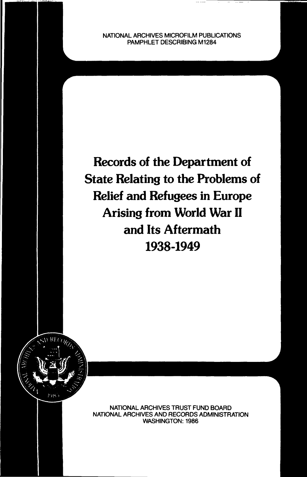NATIONAL ARCHIVES MICROFILM PUBLICATIONS PAMPHLET DESCRIBING M1284

Records of the Department of State Relating to the Problems of Relief and Refugees in Europe Arising from World War II and Its Aftermath 1938-1949



NATIONAL ARCHIVES TRUST FUND BOARD NATIONAL ARCHIVES AND RECORDS ADMINISTRATION WASHINGTON: 1986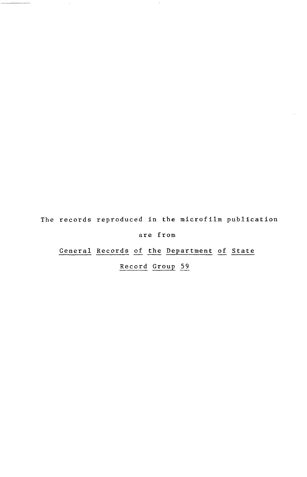The records reproduced in the microfilm publication

 $\overline{\phantom{a}}$ 

are from

General Records of the Department of State

Record Group 59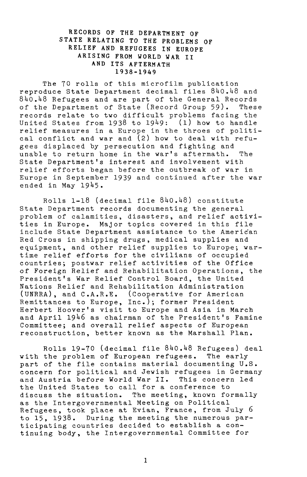## RECORDS OF THE DEPARTMENT OF STATE RELATING TO THE PROBLEMS OF RELIEF AND REFUGEES IN EUROPE ARISING FROM WORLD WAR II AND ITS AFTERMATH 1938-1949

The 70 rolls of this microfilm publication reproduce State Department decimal files 840.48 and 840.48 Refugees and are part of the General Records of the Department of State (Record Group 59). These records relate to tvo difficult problems facing the United States from  $1938$  to  $1949:$  (1) how to handle relief measures in a Europe in the throes of political conflict and war and  $(2)$  how to deal with refugees displaced by persecution and fighting and unable to return home in the war's aftermath. The State Department's interest and involvement with relief efforts began before the outbreak of war in Europe in September 1939 and continued after the war ended in May 1945.

Rolls  $1-18$  (decimal file  $840.48$ ) constitute State Department records documenting the general problem of calamities, disasters, and relief activities in Europe. Major topics covered in this file include State Department assistance to the American Red Cross in shipping drugs, medical supplies and equipment, and other relief supplies to Europe; wartime relief efforts for the civilians of occupied countries; postwar relief activities of the Office of Foreign Relief and Rehabilitation Operations, the President's War Relief Control Board, the United Nations Relief and Rehabilitation Administration (UNRRA), and C.A.R.E. (Cooperative for American Remittances to Europe, Inc.); former President Herbert Hoover's visit to Europe and Asia in March and April 1946 as chairman of the President's Famine Committee; and overall relief aspects of European reconstruction, better known as the Marshall Plan.

Rolls 19-70 (decimal file 840.48 Refugees) deal with the problem of European refugees. The early part of the file contains material documenting U.S. concern for political and Jewish refugees in Germany and Austria before World War II. This concern led the United States to call for a conference to discuss the situation. The meeting, known formally as the Intergovernmental Meeting on Political Refugees, took place at Evian, France, from July 6 to 15, 1938. During the meeting the numerous participating countries decided to establish a continuing body, the Intergovernmental Committee for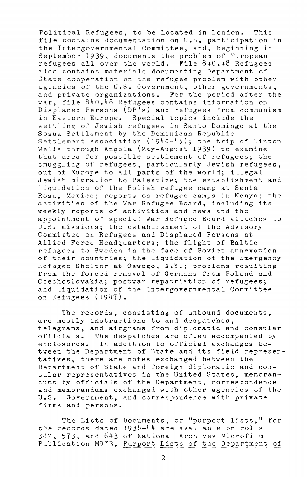Political Refugees, to be located in London. This file contains documentation on U.S. participation in the Intergovernmental Committee, and, beginning in September 1939, documents the problem of European refugees all over the world. File 8HO.H8 Refugees also contains materials documenting Department of State cooperation on the refugee problem with other agencies of the U.S. Government, other governments, and private organizations. For the period after the war, file 840.48 Refugees contains information on Displaced Persons (DP's) and refugees from communism in Eastern Europe. Special topics include the settling of Jewish refugees in Santo Domingo at the Sosua Settlement by the Dominican Republic Settlement Association  $(1940-45)$ ; the trip of Linton Wells through Angola (May-August 1939) to examine that area for possible settlement of refugees; the smuggling of refugees, particularly Jewish refugees, out of Europe to all parts of the world; illegal Jewish migration to Palestine; the establishment and liquidation of the Polish refugee camp at Santa Rosa, Mexico; reports on refugee camps in Kenya; the activities of the War Refugee Board, including its weekly reports of activities and news and the appointment of special War Refugee Board attaches to U.S. missions; the establishment of the Advisory Committee on Refugees and Displaced Persons at Allied Force Headquarters; the flight of Baltic refugees to Sweden in the face of Soviet annexation of their countries; the liquidation of the Emergency Refugee Shelter at Oswego, N.Y.; problems resulting from the forced removal of Germans from Poland and Czechoslovakia; postwar repatriation of refugees; and liquidation of the Intergovernmental Committee on Refugees (1947).

The records, consisting of unbound documents, are mostly instructions to and despatches, telegrams, and airgrams from diplomatic and consular officials. The despatches are often accompanied by enclosures. In addition to official exchanges between the Department of State and its field representatives, there are notes exchanged between the Department of State and foreign diplomatic and consular representatives in the United States, memorandums by officials of the Department, correspondence and memorandums exchanged with other agencies of the U.S. Government, and correspondence with private firms and persons.

The Lists of Documents, or "purport lists," for the records dated  $1938-44$  are available on rolls 387, 573, and 643 of National Archives Microfilm Publication M973, Purport Lists of the Department of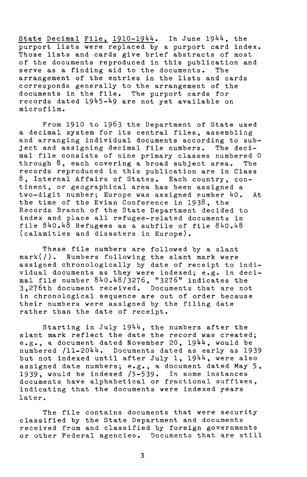State Decimal File,  $1910-1944$ . In June  $1944$ , the purport lists were replaced by a purport card index. Those lists and cards give brief abstracts of most of the documents reproduced in this publication and serve as a finding aid to the documents. The arrangement of the entries in the lists and cards corresponds generally to the arrangement of the documents in the file. The purport cards for records dated 1945-49 are not yet available on microfilm.

From 1910 to 1963 the Department of State used a decimal system for its central files, assembling and arranging individual documents according to subject and assigning decimal file numbers. The decimal file consists of nine primary classes numbered 0 through 8, each covering a broad subject area. The records reproduced in this publication are in Class 8, Internal Affairs of States. Each country, continent, or geographical area has been assigned a two-digit number; Europe was assigned number 40. At the time of the Evian Conference in 1938, the Records Branch of the State Department decided to index and place all refugee-related documents in file  $840.48$  Refugees as a subfile of file  $840.48$ (calamities and disasters in Europe).

These file numbers are followed by a slant mark(/). Numbers following the slant mark were assigned chronologically by date of receipt to individual documents as they were indexed; e.g. in decimal file number 840.48/3276, "3276" indicates the 3,276th document received. Documents that are not in chronological sequence are out of order because their numbers were assigned by the filing date rather than the date of receipt.

Starting in July 1944, the numbers after the slant mark reflect the date the record was created; e.g., a document dated November 20,  $1944$ , would be numbered /11-2044. Documents dated as early as 1939 but not indexed until after July 1,  $1944$ , were also assigned date numbers; e.g., a document dated May 5, 1939, would be indexed /5-539. In some instances documents have alphabetical or fractional suffixes, indicating that the documents were indexed years later.

The file contains documents that were security classified by the State Department and documents received from and classified by foreign governments or other Federal agencies. Documents that are still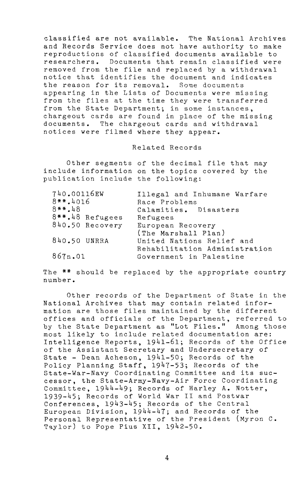classified are not available. The National Archives and Records Service does not have authority to make reproductions of classified documents available to researchers. Documents that remain classified were removed from the file and replaced by a withdrawal notice that identifies the document and indicates the reason for its removal. Some documents appearing in the Lists of Documents were missing from the files at the time they were transferred from the State Department; in some instances, chargeout cards are found in place of the missing documents. The chargeout cards and withdrawal notices were filmed where they appear.

Related Records

Other segments of the decimal file that may include information on the topics covered by the publication include the following:

| 740.00116EW     | Illegal and Inhumane Warfare  |
|-----------------|-------------------------------|
| $8***.4016$     | Race Problems                 |
| $8**.48$        | Calamities. Disasters         |
| 8**.48 Refugees | Refugees                      |
| 840.50 Recovery | European Recovery             |
|                 | (The Marshall Plan)           |
| 840.50 UNRRA    | United Nations Relief and     |
|                 | Rehabilitation Administration |
| 867n.01         | Government in Palestine       |

The \*\* should be replaced by the appropriate country number.

Other records of the Department of State in the National Archives that may contain related information are those files maintained by the different offices and officials of the Department, referred to by the State Department as "Lot Files." Among those most likely to include related documentation are: Intelligence Reports, 1941-61; Records of the Office of the Assistant Secretary and Undersecretary of State - Dean Acheson, 1941-50; Records of the Policy Planning Staff, 1947-53; Records of the State-War-Navy Coordinating Committee and its successor, the State-Army-Navy-Air Force Coordinating Committee, 1944-49; Records of Harley A. Notter, 1939-45; Records of World War II and Postwar Conferences, 1943-45; Records of the Central European Division,  $1944-47$ ; and Records of the Personal Representative of the President (Myron C. Taylor) to Pope Pius XII, 1942-50.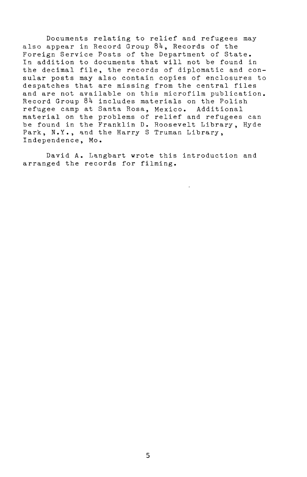Documents relating to relief and refugees may also appear in Record Group  $84$ , Records of the Foreign Service Posts of the Department of State. In addition to documents that will not be found in the decimal file, the records of diplomatic and consular posts may also contain copies of enclosures to despatches that are missing from the central files and are not available on this microfilm publication. Record Group 84 includes materials on the Polish refugee camp at Santa Rosa, Mexico. Additional material on the problems of relief and refugees can be found in the Franklin D. Roosevelt Library, Hyde Park, N.Y., and the Harry S Truman Library, Independence, Mo.

David A. Langbart wrote this introduction and arranged the records for filming.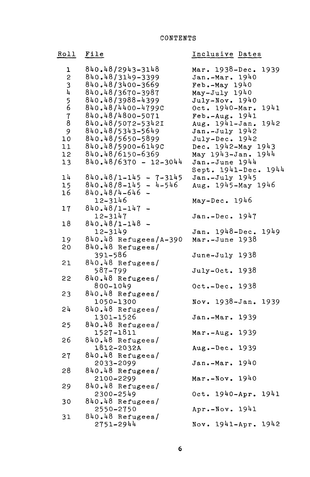## Roll File

## Inclusive Dates

| $\mathbf{1}$<br>$\overline{c}$<br>3<br>4<br>5<br>6<br>7<br>8<br>9<br>10<br>11<br>12<br>13 | 840.48/2943-3148<br>840.48/3149-3399<br>840.48/3400-3669<br>840.48/3670-3987<br>840.48/3988-4399<br>840.48/4400-4799C<br>840.48/4800-5071<br>840.48/5072-5342I<br>840.48/5343-5649<br>840.48/5650-5899<br>840.48/5900-61490<br>840.48/6150-6369<br>$840.48/6370 - 12-3044$ |
|-------------------------------------------------------------------------------------------|----------------------------------------------------------------------------------------------------------------------------------------------------------------------------------------------------------------------------------------------------------------------------|
| 14<br>15                                                                                  | 840.48/1-145<br>840.48/8-145<br>- 7-3145<br>- 4-546                                                                                                                                                                                                                        |
| 16                                                                                        | 840.48/4-646<br>12-3146                                                                                                                                                                                                                                                    |
| 17                                                                                        | 840.48/1-147                                                                                                                                                                                                                                                               |
| 18                                                                                        | 12-3147<br>840.48/1-148<br>12-3149                                                                                                                                                                                                                                         |
| 19                                                                                        | 840.48 Refugees/A-390                                                                                                                                                                                                                                                      |
| 20                                                                                        | 840.48 Refugees/<br>391-586                                                                                                                                                                                                                                                |
| 21                                                                                        | 840.48 Refugees/<br>587-799                                                                                                                                                                                                                                                |
| 22                                                                                        | 840.48 Refugees/                                                                                                                                                                                                                                                           |
| 23                                                                                        | 800-1049<br>840.48 Refugees/<br>1050-1300                                                                                                                                                                                                                                  |
| 54                                                                                        |                                                                                                                                                                                                                                                                            |
|                                                                                           | 840.48 Refugees/<br>1301-1526                                                                                                                                                                                                                                              |
| 25                                                                                        | 840.48 Refugees/<br>1527-1811                                                                                                                                                                                                                                              |
| 26                                                                                        | 840.48 Refugees/<br>1812-2032A                                                                                                                                                                                                                                             |
| 27                                                                                        | 840.48 Refugees/                                                                                                                                                                                                                                                           |
| 28                                                                                        | 2033-2099<br>840.48 Refugees/<br>2100-2299                                                                                                                                                                                                                                 |
| 29                                                                                        | 840.48 Refugees/<br>2300-2549                                                                                                                                                                                                                                              |
| 30                                                                                        | 840.48 Refugees/                                                                                                                                                                                                                                                           |
| 31                                                                                        | 2550-2750<br>840.48 Refugees/<br>2751-2944                                                                                                                                                                                                                                 |
|                                                                                           |                                                                                                                                                                                                                                                                            |

| Mar. $1938 - Dec.$<br>Jan.-Mar. 1940                                                                                                                                                                               | 1939 |
|--------------------------------------------------------------------------------------------------------------------------------------------------------------------------------------------------------------------|------|
| Jan.-Mar. 1940<br>Feb.-May 1940<br>May-July 1940<br>July-Nov. 1940<br>Oct. 1940-Mar. 1941<br>Feb.-Aug. 1941<br>Aug. 1941-Jan. 1942<br>Jan.-July 1942<br>Dec. 1942-May 1943<br>May 1943-Jan. 1944<br>Jan.-June 1944 |      |
|                                                                                                                                                                                                                    |      |
|                                                                                                                                                                                                                    | 1941 |
|                                                                                                                                                                                                                    |      |
|                                                                                                                                                                                                                    | 1942 |
|                                                                                                                                                                                                                    |      |
|                                                                                                                                                                                                                    |      |
|                                                                                                                                                                                                                    |      |
| Jan.-June 1944                                                                                                                                                                                                     |      |
| Sept. 1941-Dec. 1944                                                                                                                                                                                               |      |
| Jan.-July 1945<br>Aug. 1945-May 1946                                                                                                                                                                               |      |
|                                                                                                                                                                                                                    |      |
| May-Dec. 1946                                                                                                                                                                                                      |      |
| Jan.-Dec. 1947                                                                                                                                                                                                     |      |
|                                                                                                                                                                                                                    |      |
| Jan. 1948-Dec. 1949                                                                                                                                                                                                |      |
| Mar.-June 1938                                                                                                                                                                                                     |      |
| June-July 1938                                                                                                                                                                                                     |      |
| July-Oct. 1938                                                                                                                                                                                                     |      |
| Oct.-Dec. 1938                                                                                                                                                                                                     |      |
| Nov. 1938-Jan. 1939                                                                                                                                                                                                |      |
| Jan.-Mar. 1939                                                                                                                                                                                                     |      |
| Mar.-Aug. 1939                                                                                                                                                                                                     |      |
| Aug.-Dec. 1939                                                                                                                                                                                                     |      |
| Jan.-Mar. 1940                                                                                                                                                                                                     |      |
| Mar.-Nov. 1940                                                                                                                                                                                                     |      |
| Oct. 1940-Apr. 1941                                                                                                                                                                                                |      |
| Apr.-Nov. 1941                                                                                                                                                                                                     |      |
| Nov. 1941-Apr. 1942                                                                                                                                                                                                |      |
|                                                                                                                                                                                                                    |      |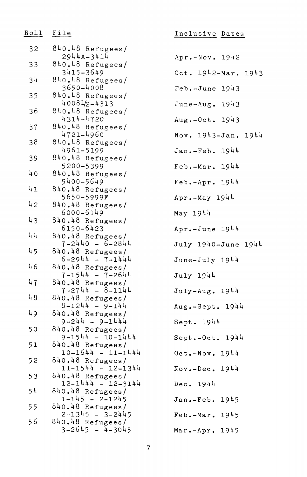| Ro11 | File                                        | Inclusive Date     |
|------|---------------------------------------------|--------------------|
| 32   | 840.48 Refugees/<br>2944A-3414              | Apr.-Nov. 1942     |
| 33   | 840.48 Refugees/                            |                    |
|      | 3415-3649                                   | $0ct. 1942 - Mar.$ |
| 34   | 840.48 Refugees/<br>3650-4008               | $Feb. - June 1943$ |
| 35   | 840.48 Refugees/                            |                    |
| 36   | 40081/2-4313<br>840.48 Refugees/            | June-Aug. $1943$   |
|      | 4314-4720                                   | Aug.-Oct. 1943     |
| 37   | 840.48 Refugees/<br>4721-4960               |                    |
| 38   | 840.48 Refugees/                            | Nov. 1943-Jan.     |
|      | 4961-5199                                   | Jan.-Feb. 1944     |
| 39   | 840.48 Refugees/<br>5200-5399               | $Feb.-Mar. 1944$   |
| 40   | 840.48 Refugees/                            |                    |
|      | 5400-5649                                   | Feb.-Apr. 1944     |
| 41   | 840.48 Refugees/<br>5650-5999F              | $Apr.-May 1944$    |
| 42   | 840.48 Refugees/                            |                    |
| 43   | 6000-6149<br>840.48 Refugees/               | May 1944           |
|      | 6150-6423                                   | Apr.-June 1944     |
| 44   | 840.48 Refugees/<br>$7 - 2440 - 6 - 2844$   |                    |
| 45   | 840.48 Refugees/                            | July 1940-June     |
|      | $6 - 2944 - 7 - 1444$                       | June-July 1944     |
| 46   | 840.48 Refugees/<br>$7 - 1544 - 7 - 2644$   | July 1944          |
| 47   | 840.48 Refugees/                            |                    |
| 48   | $7 - 2744 - 8 - 1144$<br>840.48 Refugees/   | $July-Aug. 1944$   |
|      | $8 - 1244 - 9 - 144$                        | Aug.-Sept. 194     |
| 49   | 840.48 Refugees/                            |                    |
| 50   | $9 - 244 - 9 - 1444$<br>840.48 Refugees/    | Sept. 1944         |
|      | $9 - 1544 - 10 - 1444$                      | Sept.-Oct. 194     |
| 51   | 840.48 Refugees/<br>$10 - 1644 - 11 - 1444$ |                    |
| 52   | 840.48 Refugees/                            | $Oct.-Nov. 1944$   |
|      | $11 - 1544 - 12 - 1344$                     | $Nov. - Dec. 1944$ |
| 53   | 840.48 Refugees/<br>$12 - 1444 - 12 - 3144$ | Dec. 1944          |
| 54   | 840.48 Refugees/                            |                    |
| 55   | $1 - 145 - 2 - 1245$<br>$840.48$ Refugees/  | 1945<br>Jan.-Feb.  |
|      | $2 - 1345 - 3 - 2445$                       | 1945<br>Feb.-Mar.  |
| 56   | 840.48 Refugees/<br>$3 - 2645 - 4 - 3045$   |                    |
|      |                                             | 1945<br>Mar.-Apr.  |

| Inclusive Dates         |      |  |
|-------------------------|------|--|
| Apr.-Nov. 1942          |      |  |
| Oct. $1942 - Mar. 1943$ |      |  |
| $Feb - June$ 1943       |      |  |
| June-Aug. 1943          |      |  |
| Aug.-Oct. 1943          |      |  |
| Nov. 1943-Jan. 1944     |      |  |
| Jan.-Feb. 1944          |      |  |
| Feb.-Mar. 1944          |      |  |
| Feb.-Apr. 1944          |      |  |
| Apr.-May 1944           |      |  |
| May 1944                |      |  |
| $Apr.-June 1944$        |      |  |
| July 1940-June 1944     |      |  |
| June-July 1944          |      |  |
| July 1944               |      |  |
| $July-Aug. 1944$        |      |  |
| Aug.-Sept. 1944         |      |  |
| Sept. 1944              |      |  |
| Sept.-Oct. 1944         |      |  |
| $Oct.-Nov. 1944$        |      |  |
| $Nov.-Dec. 1944$        |      |  |
| Dec. 1944               |      |  |
| Jan.-Feb. 1945          |      |  |
| Feb.-Mar.               | 1945 |  |

 $\overline{7}$